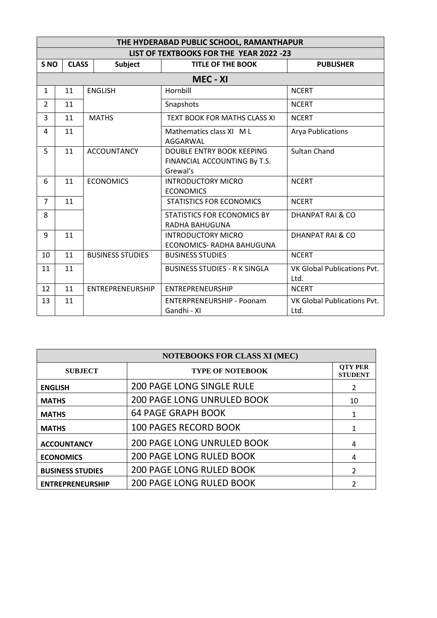| THE HYDERABAD PUBLIC SCHOOL, RAMANTHAPUR |              |                         |                                                                       |                                            |  |  |  |  |  |
|------------------------------------------|--------------|-------------------------|-----------------------------------------------------------------------|--------------------------------------------|--|--|--|--|--|
| LIST OF TEXTBOOKS FOR THE YEAR 2022 -23  |              |                         |                                                                       |                                            |  |  |  |  |  |
| S <sub>NO</sub>                          | <b>CLASS</b> | <b>Subject</b>          | <b>TITLE OF THE BOOK</b>                                              | <b>PUBLISHER</b>                           |  |  |  |  |  |
| MEC - XI                                 |              |                         |                                                                       |                                            |  |  |  |  |  |
| $\mathbf{1}$                             | 11           | <b>ENGLISH</b>          | Hornbill                                                              | <b>NCERT</b>                               |  |  |  |  |  |
| $\overline{2}$                           | 11           |                         | Snapshots                                                             | <b>NCERT</b>                               |  |  |  |  |  |
| 3                                        | 11           | <b>MATHS</b>            | <b>TEXT BOOK FOR MATHS CLASS XI</b>                                   | <b>NCERT</b>                               |  |  |  |  |  |
| 4                                        | 11           |                         | Mathematics class XI M L<br>AGGARWAL                                  | <b>Arya Publications</b>                   |  |  |  |  |  |
| 5                                        | 11           | <b>ACCOUNTANCY</b>      | DOUBLE ENTRY BOOK KEEPING<br>FINANCIAL ACCOUNTING By T.S.<br>Grewal's | <b>Sultan Chand</b>                        |  |  |  |  |  |
| 6                                        | 11           | <b>ECONOMICS</b>        | <b>INTRODUCTORY MICRO</b><br><b>ECONOMICS</b>                         | <b>NCERT</b>                               |  |  |  |  |  |
| $\overline{7}$                           | 11           |                         | <b>STATISTICS FOR ECONOMICS</b>                                       | <b>NCERT</b>                               |  |  |  |  |  |
| 8                                        |              |                         | STATISTICS FOR ECONOMICS BY<br>RADHA BAHUGUNA                         | <b>DHANPAT RAI &amp; CO</b>                |  |  |  |  |  |
| 9                                        | 11           |                         | <b>INTRODUCTORY MICRO</b><br>ECONOMICS- RADHA BAHUGUNA                | <b>DHANPAT RAI &amp; CO</b>                |  |  |  |  |  |
| 10                                       | 11           | <b>BUSINESS STUDIES</b> | <b>BUSINESS STUDIES</b>                                               | <b>NCERT</b>                               |  |  |  |  |  |
| 11                                       | 11           |                         | <b>BUSINESS STUDIES - R K SINGLA</b>                                  | <b>VK Global Publications Pvt.</b><br>Ltd. |  |  |  |  |  |
| 12                                       | 11           | <b>ENTREPRENEURSHIP</b> | <b>ENTREPRENEURSHIP</b>                                               | <b>NCERT</b>                               |  |  |  |  |  |
| 13                                       | 11           |                         | <b>ENTERPRENEURSHIP - Poonam</b><br>Gandhi - XI                       | VK Global Publications Pvt.<br>Ltd.        |  |  |  |  |  |

| <b>NOTEBOOKS FOR CLASS XI (MEC)</b> |                                   |                                  |  |  |  |  |
|-------------------------------------|-----------------------------------|----------------------------------|--|--|--|--|
| <b>SUBJECT</b>                      | <b>TYPE OF NOTEBOOK</b>           | <b>OTY PER</b><br><b>STUDENT</b> |  |  |  |  |
| <b>ENGLISH</b>                      | <b>200 PAGE LONG SINGLE RULE</b>  | 2                                |  |  |  |  |
| <b>MATHS</b>                        | <b>200 PAGE LONG UNRULED BOOK</b> | 10                               |  |  |  |  |
| <b>MATHS</b>                        | <b>64 PAGE GRAPH BOOK</b>         | 1                                |  |  |  |  |
| <b>MATHS</b>                        | <b>100 PAGES RECORD BOOK</b>      |                                  |  |  |  |  |
| <b>ACCOUNTANCY</b>                  | <b>200 PAGE LONG UNRULED BOOK</b> | 4                                |  |  |  |  |
| <b>ECONOMICS</b>                    | <b>200 PAGE LONG RULED BOOK</b>   | 4                                |  |  |  |  |
| <b>BUSINESS STUDIES</b>             | <b>200 PAGE LONG RULED BOOK</b>   | $\mathcal{P}$                    |  |  |  |  |
| <b>ENTREPRENEURSHIP</b>             | <b>200 PAGE LONG RULED BOOK</b>   |                                  |  |  |  |  |